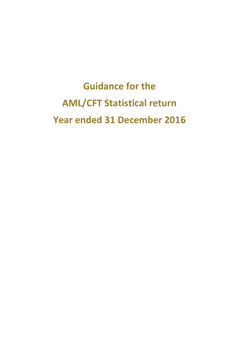**Guidance for the AML/CFT Statistical return Year ended 31 December 2016**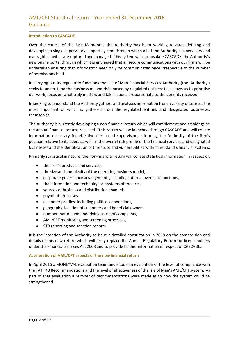#### **Introduction to CASCADE**

Over the course of the last 18 months the Authority has been working towards defining and developing a single supervisory support system through which all of the Authority's supervisory and oversight activities are captured and managed. This system will encapsulate CASCADE, the Authority's new online portal through which it is envisaged that all secure communications with our firms will be undertaken ensuring that information need only be communicated once irrespective of the number of permissions held.

In carrying out its regulatory functions the Isle of Man Financial Services Authority (the 'Authority') seeks to understand the business of, and risks posed by regulated entities; this allows us to prioritise our work, focus on what truly matters and take actions proportionate to the benefits received.

In seeking to understand the Authority gathers and analyses information from a variety of sources the most important of which is gathered from the regulated entities and designated businesses themselves.

The Authority is currently developing a non-financial return which will complement and sit alongside the annual financial returns received. This return will be launched through CASCADE and will collate information necessary for effective risk based supervision, informing the Authority of the firm's position relative to its peers as well as the overall risk profile of the financial services and designated businesses and the identification of threats to and vulnerabilities within the Island's financial systems.

Primarily statistical in nature, the non-financial return will collate statistical information in respect of:

- the firm's products and services,
- the size and complexity of the operating business model,
- corporate governance arrangements, including internal oversight functions,
- the information and technological systems of the firm,
- sources of business and distribution channels,
- payment processes,
- customer profiles, including political connections,
- geographic location of customers and beneficial owners,
- number, nature and underlying cause of complaints,
- AML/CFT monitoring and screening processes,
- STR reporting and sanction reports

It is the intention of the Authority to issue a detailed consultation in 2018 on the composition and details of this new return which will likely replace the Annual Regulatory Return for licenceholders under the Financial Services Act 2008 and to provide further information in respect of CASCADE.

#### **Acceleration of AML/CFT aspects of the non-financial return**

In April 2016 a MONEYVAL evaluation team undertook an evaluation of the level of compliance with the FATF 40 Recommendations and the level of effectiveness of the Isle of Man's AML/CFT system. As part of that evaluation a number of recommendations were made as to how the system could be strengthened.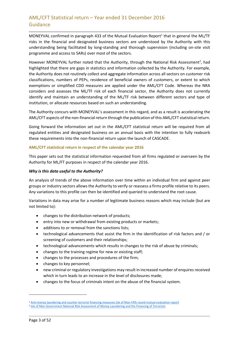MONEYVAL confirmed in paragraph 433 of the Mutual Evaluation Report<sup>1</sup> that in general the ML/TF risks in the financial and designated business sectors are understood by the Authority with this understanding being facilitated by long-standing and thorough supervision (including on-site visit programme and access to SARs) over most of the sectors.

However MONEYVAL further noted that the Authority, through the National Risk Assessment<sup>2</sup>, had highlighted that there are gaps in statistics and information collected by the Authority. For example, the Authority does not routinely collect and aggregate information across all sectors on customer risk classifications, numbers of PEPs, residence of beneficial owners of customers, or extent to which exemptions or simplified CDD measures are applied under the AML/CFT Code. Whereas the NRA considers and assesses the ML/TF risk of each financial sector, the Authority does not currently identify and maintain an understanding of the ML/TF risk between different sectors and type of institution, or allocate resources based on such an understanding.

The Authority concurs with MONEYVAL's assessment in this regard, and as a result is accelerating the AML/CFT aspects of the non-financial return through the publication of this AML/CFT statistical return.

Going forward the information set out in the AML/CFT statistical return will be required from all regulated entities and designated business on an annual basis with the intention to fully reabsorb these requirements into the non-financial return upon the launch of CASCADE.

### **AML/CFT statistical return in respect of the calendar year 2016**

This paper sets out the statistical information requested from all firms regulated or overseen by the Authority for ML/FT purposes in respect of the calendar year 2016.

#### *Why is this data useful to the Authority?*

An analysis of trends of the above information over time within an individual firm and against peer groups or industry sectors allows the Authority to verify or reassess a firms profile relative to its peers. Any variations to this profile can then be identified and queried to understand the root cause.

Variations in data may arise for a number of legitimate business reasons which may include (but are not limited to):

- changes to the distribution network of products;
- entry into new or withdrawal from existing products or markets;
- additions to or removal from the sanctions lists;
- technological advancements that assist the firm in the identification of risk factors and / or screening of customers and their relationships;
- technological advancements which results in changes to the risk of abuse by criminals;
- changes to the training regime for new or existing staff;
- changes to the processes and procedures of the firm;
- changes to key personnel;
- new criminal or regulatory investigations may result in increased number of enquires received which in turn leads to an increase in the level of disclosures made;
- changes to the focus of criminals intent on the abuse of the financial system.

1

<sup>1</sup> [Anti-money laundering and counter-terrorist financing measures Isle of Man Fifth round mutual evaluation report](http://www.fatf-gafi.org/media/fatf/documents/reports/mer-fsrb/Mutual-Evalutaion-Isle-of-Man.pdf) <sup>2</sup> [Isle of Man Government National Risk Assessment of Money Laundering and the Financing of Terrorism](https://www.gov.im/media/1350893/isle-of-man-national-risk-assessment-2015.pdf)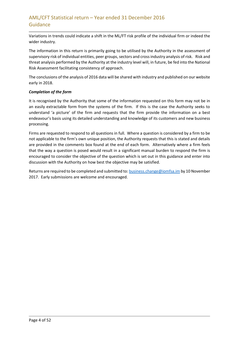Variations in trends could indicate a shift in the ML/FT risk profile of the individual firm or indeed the wider industry.

The information in this return is primarily going to be utilised by the Authority in the assessment of supervisory risk of individual entities, peer groups, sectors and cross industry analysis of risk. Risk and threat analysis performed by the Authority at the industry level will, in future, be fed into the National Risk Assessment facilitating consistency of approach.

The conclusions of the analysis of 2016 data will be shared with industry and published on our website early in 2018.

## *Completion of the form*

It is recognised by the Authority that some of the information requested on this form may not be in an easily extractable form from the systems of the firm. If this is the case the Authority seeks to understand 'a picture' of the firm and requests that the firm provide the information on a best endeavour's basis using its detailed understanding and knowledge of its customers and new business processing.

Firms are requested to respond to all questions in full. Where a question is considered by a firm to be not applicable to the firm's own unique position, the Authority requests that this is stated and details are provided in the comments box found at the end of each form. Alternatively where a firm feels that the way a question is posed would result in a significant manual burden to respond the firm is encouraged to consider the objective of the question which is set out in this guidance and enter into discussion with the Authority on how best the objective may be satisfied.

Returns are required to be completed and submitted to[: business.change@iomfsa.im](mailto:business.change@iomfsa.im) by 10 November 2017. Early submissions are welcome and encouraged.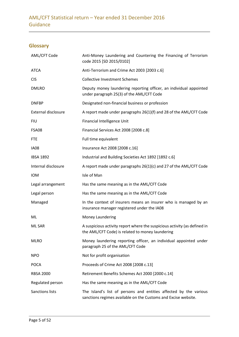# **Glossary**

| AML/CFT Code               | Anti-Money Laundering and Countering the Financing of Terrorism<br>code 2015 [SD 2015/0102]                                         |
|----------------------------|-------------------------------------------------------------------------------------------------------------------------------------|
| <b>ATCA</b>                | Anti-Terrorism and Crime Act 2003 [2003 c.6]                                                                                        |
| <b>CIS</b>                 | <b>Collective Investment Schemes</b>                                                                                                |
| <b>DMLRO</b>               | Deputy money laundering reporting officer, an individual appointed<br>under paragraph 25(3) of the AML/CFT Code                     |
| <b>DNFBP</b>               | Designated non-financial business or profession                                                                                     |
| <b>External disclosure</b> | A report made under paragraphs 26(1)(f) and 28 of the AML/CFT Code                                                                  |
| <b>FIU</b>                 | Financial Intelligence Unit                                                                                                         |
| FSA08                      | Financial Services Act 2008 [2008 c.8]                                                                                              |
| <b>FTE</b>                 | Full time equivalent                                                                                                                |
| IA08                       | Insurance Act 2008 [2008 c.16]                                                                                                      |
| <b>IBSA 1892</b>           | Industrial and Building Societies Act 1892 [1892 c.6]                                                                               |
| Internal disclosure        | A report made under paragraphs 26(1)(c) and 27 of the AML/CFT Code                                                                  |
| <b>IOM</b>                 | Isle of Man                                                                                                                         |
| Legal arrangement          | Has the same meaning as in the AML/CFT Code                                                                                         |
| Legal person               | Has the same meaning as in the AML/CFT Code                                                                                         |
| Managed                    | In the context of insurers means an insurer who is managed by an<br>insurance manager registered under the IA08                     |
| ML                         | Money Laundering                                                                                                                    |
| <b>ML SAR</b>              | A suspicious activity report where the suspicious activity (as defined in<br>the AML/CFT Code) is related to money laundering       |
| <b>MLRO</b>                | Money laundering reporting officer, an individual appointed under<br>paragraph 25 of the AML/CFT Code                               |
| <b>NPO</b>                 | Not for profit organisation                                                                                                         |
| <b>POCA</b>                | Proceeds of Crime Act 2008 [2008 c.13]                                                                                              |
| <b>RBSA 2000</b>           | Retirement Benefits Schemes Act 2000 [2000 c.14]                                                                                    |
| Regulated person           | Has the same meaning as in the AML/CFT Code                                                                                         |
| Sanctions lists            | The Island's list of persons and entities affected by the various<br>sanctions regimes available on the Customs and Excise website. |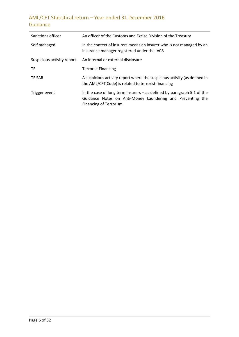| Sanctions officer          | An officer of the Customs and Excise Division of the Treasury                                                                                                     |
|----------------------------|-------------------------------------------------------------------------------------------------------------------------------------------------------------------|
| Self managed               | In the context of insurers means an insurer who is not managed by an<br>insurance manager registered under the IA08                                               |
| Suspicious activity report | An internal or external disclosure                                                                                                                                |
| <b>TF</b>                  | <b>Terrorist Financing</b>                                                                                                                                        |
| <b>TF SAR</b>              | A suspicious activity report where the suspicious activity (as defined in<br>the AML/CFT Code) is related to terrorist financing                                  |
| Trigger event              | In the case of long term insurers $-$ as defined by paragraph 5.1 of the<br>Guidance Notes on Anti-Money Laundering and Preventing the<br>Financing of Terrorism. |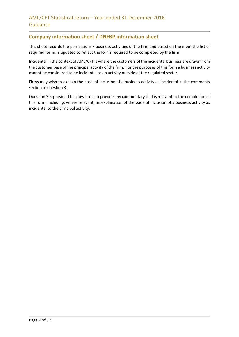## **Company information sheet / DNFBP information sheet**

This sheet records the permissions / business activities of the firm and based on the input the list of required forms is updated to reflect the forms required to be completed by the firm.

Incidental in the context of AML/CFT is where the customers of the incidental business are drawn from the customer base of the principal activity of the firm. For the purposes of this form a business activity cannot be considered to be incidental to an activity outside of the regulated sector.

Firms may wish to explain the basis of inclusion of a business activity as incidental in the comments section in question 3.

Question 3 is provided to allow firms to provide any commentary that is relevant to the completion of this form, including, where relevant, an explanation of the basis of inclusion of a business activity as incidental to the principal activity.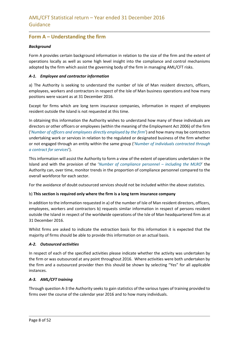## **Form A – Understanding the firm**

## *Background*

Form A provides certain background information in relation to the size of the firm and the extent of operations locally as well as some high level insight into the compliance and control mechanisms adopted by the firm which assist the governing body of the firm in managing AML/CFT risks.

## *A-1. Employee and contractor information*

a) The Authority is seeking to understand the number of Isle of Man resident directors, officers, employees, workers and contractors in respect of the Isle of Man business operations and how many positions were vacant as at 31 December 2016.

Except for firms which are long term insurance companies, information in respect of employees resident outside the Island is not requested at this time.

In obtaining this information the Authority wishes to understand how many of these individuals are directors or other officers or employees (within the meaning of the Employment Act 2006) of the firm ('*Number of officers and employees directly employed by the firm*') and how many may be contractors undertaking work or services in relation to the regulated or designated business of the firm whether or not engaged through an entity within the same group ('*Number of individuals contracted through a contract for services*').

This information will assist the Authority to form a view of the extent of operations undertaken in the Island and with the provision of the '*Number of compliance personnel – including the MLRO*' the Authority can, over time, monitor trends in the proportion of compliance personnel compared to the overall workforce for each sector.

For the avoidance of doubt outsourced services should not be included within the above statistics.

#### b) **This section is required only where the firm is a long term insurance company**

In addition to the information requested in a) of the number of Isle of Man resident directors, officers, employees, workers and contractors b) requests similar information in respect of persons resident outside the Island in respect of the worldwide operations of the Isle of Man headquartered firm as at 31 December 2016.

Whilst firms are asked to indicate the extraction basis for this information it is expected that the majority of firms should be able to provide this information on an actual basis.

#### *A-2. Outsourced activities*

In respect of each of the specified activities please indicate whether the activity was undertaken by the firm or was outsourced at any point throughout 2016. Where activities were both undertaken by the firm and a outsourced provider then this should be shown by selecting "Yes" for all applicable instances.

#### *A-3. AML/CFT training*

Through question A-3 the Authority seeks to gain statistics of the various types of training provided to firms over the course of the calendar year 2016 and to how many individuals.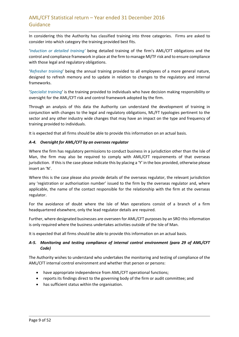In considering this the Authority has classified training into three categories. Firms are asked to consider into which category the training provided best fits.

'*Induction or detailed training'* being detailed training of the firm's AML/CFT obligations and the control and compliance framework in place at the firm to manage Ml/TF risk and to ensure compliance with those legal and regulatory obligations.

'*Refresher training*' being the annual training provided to all employees of a more general nature, designed to refresh memory and to update in relation to changes to the regulatory and internal frameworks.

'*Specialist training*' is the training provided to individuals who have decision making responsibility or oversight for the AML/CFT risk and control framework adopted by the firm.

Through an analysis of this data the Authority can understand the development of training in conjunction with changes to the legal and regulatory obligations, ML/FT typologies pertinent to the sector and any other industry wide changes that may have an impact on the type and frequency of training provided to individuals.

It is expected that all firms should be able to provide this information on an actual basis.

## *A-4. Oversight for AML/CFT by an overseas regulator*

Where the firm has regulatory permissions to conduct business in a jurisdiction other than the Isle of Man, the firm may also be required to comply with AML/CFT requirements of that overseas jurisdiction. If this is the case please indicate this by placing a 'Y' in the box provided, otherwise please insert an 'N'.

Where this is the case please also provide details of the overseas regulator, the relevant jurisdiction any 'registration or authorisation number' issued to the firm by the overseas regulator and, where applicable, the name of the contact responsible for the relationship with the firm at the overseas regulator.

For the avoidance of doubt where the Isle of Man operations consist of a branch of a firm headquartered elsewhere, only the lead regulator details are required.

Further, where designated businesses are overseen for AML/CFT purposes by an SRO this information is only required where the business undertakes activities outside of the Isle of Man.

It is expected that all firms should be able to provide this information on an actual basis.

## *A-5. Monitoring and testing compliance of internal control environment (para 29 of AML/CFT Code)*

The Authority wishes to understand who undertakes the monitoring and testing of compliance of the AML/CFT internal control environment and whether that person or persons:

- have appropriate independence from AML/CFT operational functions;
- reports its findings direct to the governing body of the firm or audit committee; and
- has sufficient status within the organisation.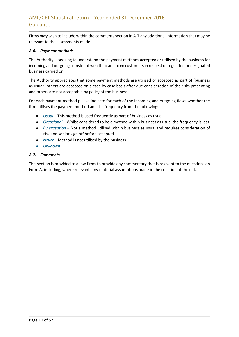Firms *may* wish to include within the comments section in A-7 any additional information that may be relevant to the assessments made.

#### *A-6. Payment methods*

The Authority is seeking to understand the payment methods accepted or utilised by the business for incoming and outgoing transfer of wealth to and from customers in respect of regulated or designated business carried on.

The Authority appreciates that some payment methods are utilised or accepted as part of 'business as usual', others are accepted on a case by case basis after due consideration of the risks presenting and others are not acceptable by policy of the business.

For each payment method please indicate for each of the incoming and outgoing flows whether the firm utilises the payment method and the frequency from the following:

- *Usual* This method is used frequently as part of business as usual
- *Occasional* Whilst considered to be a method within business as usual the frequency is less
- **•** By exception Not a method utilised within business as usual and requires consideration of risk and senior sign off before accepted
- *Never –* Method is not utilised by the business
- *Unknown*

### *A-7. Comments*

This section is provided to allow firms to provide any commentary that is relevant to the questions on Form A, including, where relevant, any material assumptions made in the collation of the data.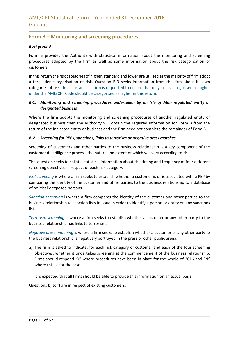## **Form B – Monitoring and screening procedures**

#### *Background*

Form B provides the Authority with statistical information about the monitoring and screening procedures adopted by the firm as well as some information about the risk categorisation of customers.

In this return the risk categories of higher, standard and lower are utilised as the majority of firm adopt a three tier categorisation of risk. Question B-3 seeks information from the firm about its own categories of risk. In all instances a firm is requested to ensure that only items categorised as higher under the AML/CFT Code should be categorised as higher in this return.

## *B-1. Monitoring and screening procedures undertaken by an Isle of Man regulated entity or designated business*

Where the firm adopts the monitoring and screening procedures of another regulated entity or designated business then the Authority will obtain the required information for Form B from the return of the indicated entity or business and the firm need not complete the remainder of Form B.

### *B-2 Screening for PEPs, sanctions, links to terrorism or negative press matches*

Screening of customers and other parties to the business relationship is a key component of the customer due diligence process, the nature and extent of which will vary according to risk.

This question seeks to collate statistical information about the timing and frequency of four different screening objectives in respect of each risk category.

*PEP screening* is where a firm seeks to establish whether a customer is or is associated with a PEP by comparing the identity of the customer and other parties to the business relationship to a database of politically exposed persons.

*Sanction screening* is where a firm compares the identity of the customer and other parties to the business relationship to sanction lists in issue in order to identify a person or entity on any sanctions list.

*Terrorism screening* is where a firm seeks to establish whether a customer or any other party to the business relationship has links to terrorism.

*Negative press matching* is where a firm seeks to establish whether a customer or any other party to the business relationship is negatively portrayed in the press or other public arena.

a) The firm is asked to indicate, for each risk category of customer and each of the four screening objectives, whether it undertakes screening at the commencement of the business relationship. Firms should respond "Y" where procedures have been in place for the whole of 2016 and "N" where this is not the case.

It is expected that all firms should be able to provide this information on an actual basis.

Questions b) to f) are in respect of existing customers: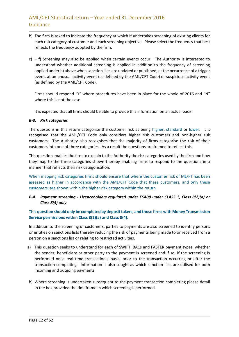- b) The firm is asked to indicate the frequency at which it undertakes screening of existing clients for each risk category of customer and each screening objective. Please select the frequency that best reflects the frequency adopted by the firm.
- c)  $f$ ) Screening may also be applied when certain events occur. The Authority is interested to understand whether additional screening is applied in addition to the frequency of screening applied under b) above when sanction lists are updated or published, at the occurrence of a trigger event, at an unusual activity event (as defined by the AML/CFT Code) or suspicious activity event (as defined by the AML/CFT Code).

Firms should respond "Y" where procedures have been in place for the whole of 2016 and "N" where this is not the case.

It is expected that all firms should be able to provide this information on an actual basis.

#### *B-3. Risk categories*

The questions in this return categorise the customer risk as being higher, standard or lower. It is recognised that the AML/CFT Code only considers higher risk customers and non-higher risk customers. The Authority also recognises that the majority of firms categorise the risk of their customers into one of three categories. As a result the questions are framed to reflect this.

This question enables the firm to explain to the Authority the risk categories used by the firm and how they map to the three categories shown thereby enabling firms to respond to the questions in a manner that reflects their risk categorisation.

When mapping risk categories firms should ensure that where the customer risk of ML/FT has been assessed as higher in accordance with the AML/CFT Code that these customers, and only these customers, are shown within the higher risk category within the return.

## *B-4. Payment screening - Licenceholders regulated under FSA08 under CLASS 1, Class 8(2)(a) or Class 8(4) only*

## **This question should only be completed by deposit takers, and those firms with Money Transmission Service permissions within Class 8(2)(a) and Class 8(4).**

In addition to the screening of customers, parties to payments are also screened to identify persons or entities on sanctions lists thereby reducing the risk of payments being made to or received from a person on a sanctions list or relating to restricted activities.

- a) This question seeks to understand for each of SWIFT, BACs and FASTER payment types, whether the sender, beneficiary or other party to the payment is screened and if so, if the screening is performed on a real time transactional basis, prior to the transaction occurring or after the transaction completing. Information is also sought as which sanction lists are utilised for both incoming and outgoing payments.
- b) Where screening is undertaken subsequent to the payment transaction completing please detail in the box provided the timeframe in which screening is performed.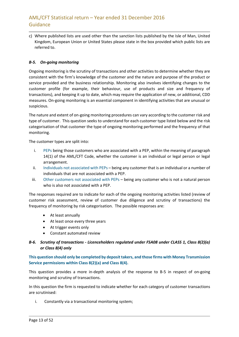c) Where published lists are used other than the sanction lists published by the Isle of Man, United Kingdom, European Union or United States please state in the box provided which public lists are referred to.

## *B-5. On-going monitoring*

Ongoing monitoring is the scrutiny of transactions and other activities to determine whether they are consistent with the firm's knowledge of the customer and the nature and purpose of the product or service provided and the business relationship. Monitoring also involves identifying changes to the customer profile (for example, their behaviour, use of products and size and frequency of transactions), and keeping it up to date, which may require the application of new, or additional, CDD measures. On-going monitoring is an essential component in identifying activities that are unusual or suspicious.

The nature and extent of on-going monitoring procedures can vary according to the customer risk and type of customer. This question seeks to understand for each customer type listed below and the risk categorisation of that customer the type of ongoing monitoring performed and the frequency of that monitoring.

The customer types are split into:

- i. PEPs being those customers who are associated with a PEP, within the meaning of paragraph 14(1) of the AML/CFT Code, whether the customer is an individual or legal person or legal arrangement.
- ii. Individuals not associated with PEPs being any customer that is an individual or a number of individuals that are not associated with a PEP.
- iii. Other customers not associated with PEPs being any customer who is not a natural person who is also not associated with a PEP.

The responses required are to indicate for each of the ongoing monitoring activities listed (review of customer risk assessment, review of customer due diligence and scrutiny of transactions) the frequency of monitoring by risk categorisation. The possible responses are:

- At least annually
- At least once every three years
- At trigger events only
- Constant automated review

## *B-6. Scrutiny of transactions - Licenceholders regulated under FSA08 under CLASS 1, Class 8(2)(a) or Class 8(4) only*

**This question should only be completed by deposit takers, and those firms with Money Transmission Service permissions within Class 8(2)(a) and Class 8(4).** 

This question provides a more in-depth analysis of the response to B-5 in respect of on-going monitoring and scrutiny of transactions.

In this question the firm is requested to indicate whether for each category of customer transactions are scrutinised:

i. Constantly via a transactional monitoring system;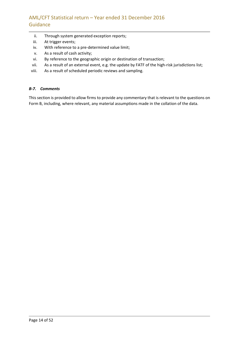- ii. Through system generated exception reports;
- iii. At trigger events;
- iv. With reference to a pre-determined value limit;
- v. As a result of cash activity;
- vi. By reference to the geographic origin or destination of transaction;
- vii. As a result of an external event, e.g. the update by FATF of the high-risk jurisdictions list;
- viii. As a result of scheduled periodic reviews and sampling.

#### *B-7. Comments*

This section is provided to allow firms to provide any commentary that is relevant to the questions on Form B, including, where relevant, any material assumptions made in the collation of the data.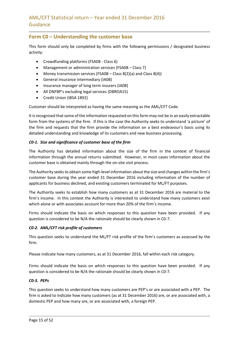## **Form C0 – Understanding the customer base**

This form should only be completed by firms with the following permissions / designated business activity:

- Crowdfunding platforms (FSA08 Class 6)
- Management or administration services (FSA08 Class 7)
- Money transmission services (FSA08 Class  $8(2)(a)$  and Class  $8(4)$ )
- General insurance intermediary (IA08)
- Insurance manager of long term insurers (IA08)
- All DNFBP's excluding legal services (DBROA15)
- Credit Union (IBSA 1892)

Customer should be interpreted as having the same meaning as the AML/CFT Code.

It is recognised that some of the information requested on this form may not be in an easily extractable form from the systems of the firm. If this is the case the Authority seeks to understand 'a picture' of the firm and requests that the firm provide the information on a best endeavour's basis using its detailed understanding and knowledge of its customers and new business processing.

### *C0-1. Size and significance of customer base of the firm*

The Authority has detailed information about the size of the firm in the context of financial information through the annual returns submitted. However, in most cases information about the customer base is obtained mainly through the on-site visit process.

The Authority seeks to obtain some high-level information about the size and changes within the firm's customer base during the year ended 31 December 2016 including information of the number of applicants for business declined, and existing customers terminated for ML/FT purposes.

The Authority seeks to establish how many customers as at 31 December 2016 are material to the firm's income. In this context the Authority is interested to understand how many customers exist which alone or with associates account for more than 20% of the firm's income.

Firms should indicate the basis on which responses to this question have been provided. If any question is considered to be N/A the rationale should be clearly shown in C0-7.

#### *C0-2. AML/CFT risk profile of customers*

This question seeks to understand the ML/FT risk profile of the firm's customers as assessed by the firm.

Please indicate how many customers, as at 31 December 2016, fall within each risk category.

Firms should indicate the basis on which responses to this question have been provided. If any question is considered to be N/A the rationale should be clearly shown in C0-7.

## *C0-3. PEPs*

This question seeks to understand how many customers are PEP's or are associated with a PEP. The firm is asked to indicate how many customers (as at 31 December 2016) are, or are associated with, a domestic PEP and how many are, or are associated with, a foreign PEP.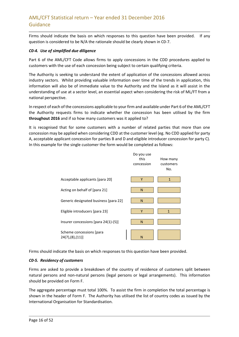Firms should indicate the basis on which responses to this question have been provided. If any question is considered to be N/A the rationale should be clearly shown in C0-7.

### *C0-4. Use of simplified due diligence*

Part 6 of the AML/CFT Code allows firms to apply concessions in the CDD procedures applied to customers with the use of each concession being subject to certain qualifying criteria.

The Authority is seeking to understand the extent of application of the concessions allowed across industry sectors. Whilst providing valuable information over time of the trends in application, this information will also be of immediate value to the Authority and the Island as it will assist in the understanding of use at a sector level, an essential aspect when considering the risk of ML/FT from a national perspective.

In respect of each of the concessions applicable to your firm and available under Part 6 of the AML/CFT the Authority requests firms to indicate whether the concession has been utilised by the firm **throughout 2016** and if so how many customers was it applied to?

It is recognised that for some customers with a number of related parties that more than one concession may be applied when considering CDD at the customer level (eg. No CDD applied for party A, acceptable applicant concession for parties B and D and eligible introducer concession for party C). In this example for the single customer the form would be completed as follows:



Firms should indicate the basis on which responses to this question have been provided.

## *C0-5. Residency of customers*

Firms are asked to provide a breakdown of the country of residence of customers split between natural persons and non-natural persons (legal persons or legal arrangements). This information should be provided on Form F.

The aggregate percentage must total 100%. To assist the firm in completion the total percentage is shown in the header of Form F. The Authority has utilised the list of country codes as issued by the International Organisation for Standardisation.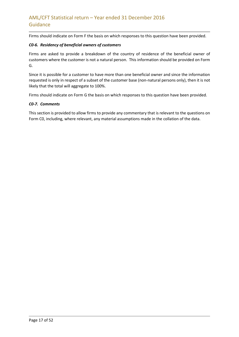Firms should indicate on Form F the basis on which responses to this question have been provided.

## *C0-6. Residency of beneficial owners of customers*

Firms are asked to provide a breakdown of the country of residence of the beneficial owner of customers where the customer is not a natural person. This information should be provided on Form G.

Since it is possible for a customer to have more than one beneficial owner and since the information requested is only in respect of a subset of the customer base (non-natural persons only), then it is not likely that the total will aggregate to 100%.

Firms should indicate on Form G the basis on which responses to this question have been provided.

### *C0-7. Comments*

This section is provided to allow firms to provide any commentary that is relevant to the questions on Form C0, including, where relevant, any material assumptions made in the collation of the data.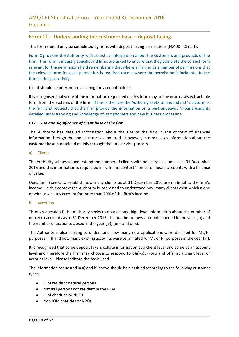## **Form C1 – Understanding the customer base – deposit taking**

This form should only be completed by firms with deposit taking permissions (FSA08 - Class 1).

Form C provides the Authority with statistical information about the customers and products of the firm. This form is industry specific and firms are asked to ensure that they complete the correct form relevant for the permissions held remembering that where a firm holds a number of permissions that the relevant form for each permission is required except where the permission is incidental to the firm's principal activity.

Client should be interpreted as being the account holder.

It is recognised that some of the information requested on this form may not be in an easily extractable form from the systems of the firm. If this is the case the Authority seeks to understand 'a picture' of the firm and requests that the firm provide the information on a best endeavour's basis using its detailed understanding and knowledge of its customers and new business processing.

### *C1-1. Size and significance of client base of the firm*

The Authority has detailed information about the size of the firm in the context of financial information through the annual returns submitted. However, in most cases information about the customer base is obtained mainly through the on-site visit process.

#### a) Clients

The Authority wishes to understand the number of clients with non zero accounts as at 31 December 2016 and this information is requested in i). In this context 'non-zero' means accounts with a balance of value.

Question ii) seeks to establish how many clients as at 31 December 2016 are material to the firm's income. In this context the Authority is interested to understand how many clients exist which alone or with associates account for more than 20% of the firm's income.

#### b) Accounts

Through question i) the Authority seeks to obtain some high-level information about the number of non-zero accounts as at 31 December 2016, the number of new accounts opened in the year [ii)] and the number of accounts closed in the year [iv)] (ons and offs).

The Authority is also seeking to understand how many new applications were declined for ML/FT purposes [iii)] and how many existing accounts were terminated for ML or FT purposes in the year [v)].

It is recognised that some deposit takers collate information at a client level and some at an account level and therefore the firm may choose to respond to b)ii)-b)v) (ons and offs) at a client level or account level. Please indicate the basis used.

The information requested in a) and b) above should be classified according to the following customer types:

- IOM resident natural persons
- Natural persons not resident in the IOM
- IOM charities or NPOs
- Non IOM charities or NPOs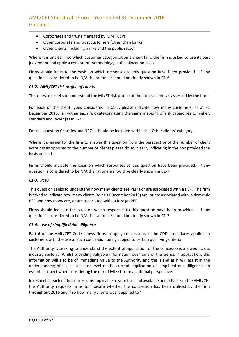- Corporates and trusts managed by IOM TCSPs
- Other corporate and trust customers (other than banks)
- Other clients, including banks and the public sector

Where it is unclear into which customer categorisation a client falls, the firm is asked to use its best judgement and apply a consistent methodology in the allocation basis.

Firms should indicate the basis on which responses to this question have been provided. If any question is considered to be N/A the rationale should be clearly shown in C1-6.

## *C1-2. AML/CFT risk profile of clients*

This question seeks to understand the ML/FT risk profile of the firm's clients as assessed by the firm.

For each of the client types considered in C1-1, please indicate how many customers, as at 31 December 2016, fall within each risk category using the same mapping of risk categories to higher, standard and lower [as in B-2].

For this question Charities and NPO's should be included within the 'Other clients' category.

Where it is easier for the firm to answer this question from the perspective of the number of client accounts as opposed to the number of clients please do so, clearly indicating in the box provided the basis utilised.

Firms should indicate the basis on which responses to this question have been provided. If any question is considered to be N/A the rationale should be clearly shown in C1-7.

## *C1-3. PEPs*

This question seeks to understand how many clients are PEP's or are associated with a PEP. The firm is asked to indicate how many clients (as at 31 December 2016) are, or are associated with, a domestic PEP and how many are, or are associated with, a foreign PEP.

Firms should indicate the basis on which responses to this question have been provided. If any question is considered to be N/A the rationale should be clearly shown in C1-7.

## *C1-4. Use of simplified due diligence*

Part 6 of the AML/CFT Code allows firms to apply concessions in the CDD procedures applied to customers with the use of each concession being subject to certain qualifying criteria.

The Authority is seeking to understand the extent of application of the concessions allowed across industry sectors. Whilst providing valuable information over time of the trends in application, this information will also be of immediate value to the Authority and the Island as it will assist in the understanding of use at a sector level of the current application of simplified due diligence, an essential aspect when considering the risk of ML/FT from a national perspective.

In respect of each of the concessions applicable to your firm and available under Part 6 of the AML/CFT the Authority requests firms to indicate whether the concession has been utilised by the firm **throughout 2016** and if so how many clients was it applied to?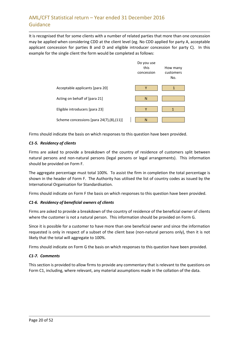It is recognised that for some clients with a number of related parties that more than one concession may be applied when considering CDD at the client level (eg. No CDD applied for party A, acceptable applicant concession for parties B and D and eligible introducer concession for party C). In this example for the single client the form would be completed as follows:



Firms should indicate the basis on which responses to this question have been provided.

## *C1-5. Residency of clients*

Firms are asked to provide a breakdown of the country of residence of customers split between natural persons and non-natural persons (legal persons or legal arrangements). This information should be provided on Form F.

The aggregate percentage must total 100%. To assist the firm in completion the total percentage is shown in the header of Form F. The Authority has utilised the list of country codes as issued by the International Organisation for Standardisation.

Firms should indicate on Form F the basis on which responses to this question have been provided.

## *C1-6. Residency of beneficial owners of clients*

Firms are asked to provide a breakdown of the country of residence of the beneficial owner of clients where the customer is not a natural person. This information should be provided on Form G.

Since it is possible for a customer to have more than one beneficial owner and since the information requested is only in respect of a subset of the client base (non-natural persons only), then it is not likely that the total will aggregate to 100%.

Firms should indicate on Form G the basis on which responses to this question have been provided.

## *C1-7. Comments*

This section is provided to allow firms to provide any commentary that is relevant to the questions on Form C1, including, where relevant, any material assumptions made in the collation of the data.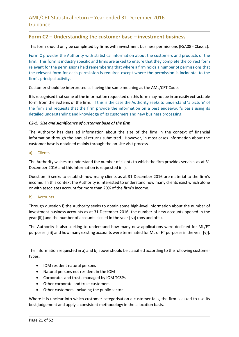## **Form C2 – Understanding the customer base – investment business**

This form should only be completed by firms with investment business permissions (FSA08 - Class 2).

Form C provides the Authority with statistical information about the customers and products of the firm. This form is industry specific and firms are asked to ensure that they complete the correct form relevant for the permissions held remembering that where a firm holds a number of permissions that the relevant form for each permission is required except where the permission is incidental to the firm's principal activity.

Customer should be interpreted as having the same meaning as the AML/CFT Code.

It is recognised that some of the information requested on this form may not be in an easily extractable form from the systems of the firm. If this is the case the Authority seeks to understand 'a picture' of the firm and requests that the firm provide the information on a best endeavour's basis using its detailed understanding and knowledge of its customers and new business processing.

### *C2-1. Size and significance of customer base of the firm*

The Authority has detailed information about the size of the firm in the context of financial information through the annual returns submitted. However, in most cases information about the customer base is obtained mainly through the on-site visit process.

#### a) Clients

The Authority wishes to understand the number of clients to which the firm provides services as at 31 December 2016 and this information is requested in i).

Question ii) seeks to establish how many clients as at 31 December 2016 are material to the firm's income. In this context the Authority is interested to understand how many clients exist which alone or with associates account for more than 20% of the firm's income.

#### b) Accounts

Through question i) the Authority seeks to obtain some high-level information about the number of investment business accounts as at 31 December 2016, the number of new accounts opened in the year [ii)] and the number of accounts closed in the year [iv)] (ons and offs).

The Authority is also seeking to understand how many new applications were declined for ML/FT purposes [iii)] and how many existing accounts were terminated for ML or FT purposes in the year [v)].

The information requested in a) and b) above should be classified according to the following customer types:

- IOM resident natural persons
- Natural persons not resident in the IOM
- Corporates and trusts managed by IOM TCSPs
- Other corporate and trust customers
- Other customers, including the public sector

Where it is unclear into which customer categorisation a customer falls, the firm is asked to use its best judgement and apply a consistent methodology in the allocation basis.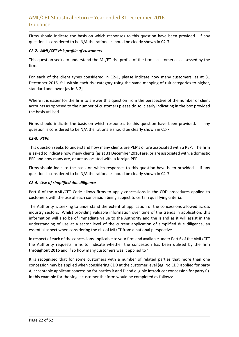Firms should indicate the basis on which responses to this question have been provided. If any question is considered to be N/A the rationale should be clearly shown in C2-7.

## *C2-2. AML/CFT risk profile of customers*

This question seeks to understand the ML/FT risk profile of the firm's customers as assessed by the firm.

For each of the client types considered in C2-1, please indicate how many customers, as at 31 December 2016, fall within each risk category using the same mapping of risk categories to higher, standard and lower [as in B-2].

Where it is easier for the firm to answer this question from the perspective of the number of client accounts as opposed to the number of customers please do so, clearly indicating in the box provided the basis utilised.

Firms should indicate the basis on which responses to this question have been provided. If any question is considered to be N/A the rationale should be clearly shown in C2-7.

## *C2-3. PEPs*

This question seeks to understand how many clients are PEP's or are associated with a PEP. The firm is asked to indicate how many clients (as at 31 December 2016) are, or are associated with, a domestic PEP and how many are, or are associated with, a foreign PEP.

Firms should indicate the basis on which responses to this question have been provided. If any question is considered to be N/A the rationale should be clearly shown in C2-7.

## *C2-4. Use of simplified due diligence*

Part 6 of the AML/CFT Code allows firms to apply concessions in the CDD procedures applied to customers with the use of each concession being subject to certain qualifying criteria.

The Authority is seeking to understand the extent of application of the concessions allowed across industry sectors. Whilst providing valuable information over time of the trends in application, this information will also be of immediate value to the Authority and the Island as it will assist in the understanding of use at a sector level of the current application of simplified due diligence, an essential aspect when considering the risk of ML/FT from a national perspective.

In respect of each of the concessions applicable to your firm and available under Part 6 of the AML/CFT the Authority requests firms to indicate whether the concession has been utilised by the firm **throughout 2016** and if so how many customers was it applied to?

It is recognised that for some customers with a number of related parties that more than one concession may be applied when considering CDD at the customer level (eg. No CDD applied for party A, acceptable applicant concession for parties B and D and eligible introducer concession for party C). In this example for the single customer the form would be completed as follows: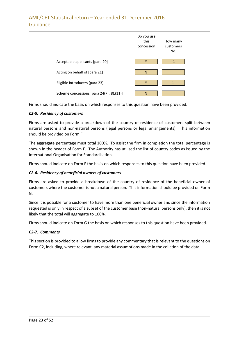|                                          | Do you use<br>this<br>concession | How many<br>customers<br>No. |
|------------------------------------------|----------------------------------|------------------------------|
| Acceptable applicants [para 20]          | v                                |                              |
| Acting on behalf of [para 21]            | N                                |                              |
| Eligible introducers [para 23]           | Y                                | 1                            |
| Scheme concessions [para 24(7),(8),(11)] | N                                |                              |

Firms should indicate the basis on which responses to this question have been provided.

### *C2-5. Residency of customers*

Firms are asked to provide a breakdown of the country of residence of customers split between natural persons and non-natural persons (legal persons or legal arrangements). This information should be provided on Form F.

The aggregate percentage must total 100%. To assist the firm in completion the total percentage is shown in the header of Form F. The Authority has utilised the list of country codes as issued by the International Organisation for Standardisation.

Firms should indicate on Form F the basis on which responses to this question have been provided.

## *C2-6. Residency of beneficial owners of customers*

Firms are asked to provide a breakdown of the country of residence of the beneficial owner of customers where the customer is not a natural person. This information should be provided on Form G.

Since it is possible for a customer to have more than one beneficial owner and since the information requested is only in respect of a subset of the customer base (non-natural persons only), then it is not likely that the total will aggregate to 100%.

Firms should indicate on Form G the basis on which responses to this question have been provided.

#### *C2-7. Comments*

This section is provided to allow firms to provide any commentary that is relevant to the questions on Form C2, including, where relevant, any material assumptions made in the collation of the data.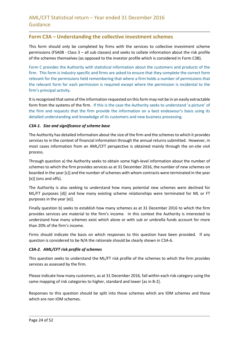## **Form C3A – Understanding the collective investment schemes**

This form should only be completed by firms with the services to collective investment scheme permissions (FSA08 - Class 3 – all sub classes) and seeks to collate information about the risk profile of the schemes themselves (as opposed to the investor profile which is considered in Form C3B).

Form C provides the Authority with statistical information about the customers and products of the firm. This form is industry specific and firms are asked to ensure that they complete the correct form relevant for the permissions held remembering that where a firm holds a number of permissions that the relevant form for each permission is required except where the permission is incidental to the firm's principal activity.

It is recognised that some of the information requested on this form may not be in an easily extractable form from the systems of the firm. If this is the case the Authority seeks to understand 'a picture' of the firm and requests that the firm provide the information on a best endeavour's basis using its detailed understanding and knowledge of its customers and new business processing.

### *C3A-1. Size and significance of scheme base*

The Authority has detailed information about the size of the firm and the schemesto which it provides services to in the context of financial information through the annual returns submitted. However, in most cases information from an AML/CFT perspective is obtained mainly through the on-site visit process.

Through question a) the Authority seeks to obtain some high-level information about the number of schemes to which the firm provides services as at 31 December 2016, the number of new schemes on boarded in the year [c)] and the number of schemes with whom contracts were terminated in the year [e)] (ons and offs).

The Authority is also seeking to understand how many potential new schemes were declined for ML/FT purposes [d)] and how many existing scheme relationships were terminated for ML or FT purposes in the year [e)].

Finally question b) seeks to establish how many schemes as at 31 December 2016 to which the firm provides services are material to the firm's income. In this context the Authority is interested to understand how many schemes exist which alone or with sub or umbrella funds account for more than 20% of the firm's income.

Firms should indicate the basis on which responses to this question have been provided. If any question is considered to be N/A the rationale should be clearly shown in C3A-6.

## *C3A-2. AML/CFT risk profile of schemes*

This question seeks to understand the ML/FT risk profile of the schemes to which the firm provides services as assessed by the firm.

Please indicate how many customers, as at 31 December 2016, fall within each risk category using the same mapping of risk categories to higher, standard and lower [as in B-2].

Responses to this question should be split into those schemes which are IOM schemes and those which are non IOM schemes.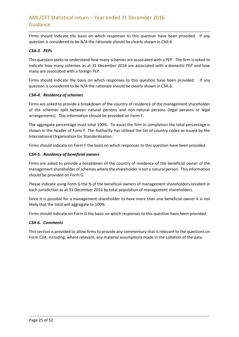Firms should indicate the basis on which responses to this question have been provided. If any question is considered to be N/A the rationale should be clearly shown in C3A-6.

## *C3A-3. PEPs*

This question seeks to understand how many schemes are associated with a PEP. The firm is asked to indicate how many schemes as at 31 December 2016 are associated with a domestic PEP and how many are associated with a foreign PEP.

Firms should indicate the basis on which responses to this question have been provided. If any question is considered to be N/A the rationale should be clearly shown in C3A-6.

### *C3A-4. Residency of schemes*

Firms are asked to provide a breakdown of the country of residence of the management shareholder of the schemes split between natural persons and non-natural persons (legal persons or legal arrangements). This information should be provided on Form F.

The aggregate percentage must total 100%. To assist the firm in completion the total percentage is shown in the header of Form F. The Authority has utilised the list of country codes as issued by the International Organisation for Standardisation.

Firms should indicate on Form F the basis on which responses to this question have been provided.

### *C3A-5. Residency of beneficial owners*

Firms are asked to provide a breakdown of the country of residence of the beneficial owner of the management shareholder of schemes where the shareholder is not a natural person. This information should be provided on Form G.

Please indicate using Form G the % of the beneficial owners of management shareholders resident in each jurisdiction as at 31 December 2016 by total population of management shareholders.

Since it is possible for a management shareholder to have more than one beneficial owner it is not likely that the total will aggregate to 100%.

Firms should indicate on Form G the basis on which responses to this question have been provided.

#### *C3A-6. Comments*

This section is provided to allow firms to provide any commentary that is relevant to the questions on Form C3A, including, where relevant, any material assumptions made in the collation of the data.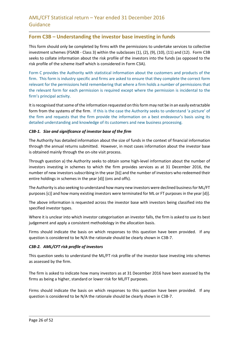## **Form C3B – Understanding the investor base investing in funds**

This form should only be completed by firms with the permissions to undertake services to collective investment schemes (FSA08 - Class 3) within the subclasses (1), (2), (9), (10), (11) and (12). Form C3B seeks to collate information about the risk profile of the investors into the funds (as opposed to the risk profile of the scheme itself which is considered in Form C3A).

Form C provides the Authority with statistical information about the customers and products of the firm. This form is industry specific and firms are asked to ensure that they complete the correct form relevant for the permissions held remembering that where a firm holds a number of permissions that the relevant form for each permission is required except where the permission is incidental to the firm's principal activity.

It is recognised that some of the information requested on this form may not be in an easily extractable form from the systems of the firm. If this is the case the Authority seeks to understand 'a picture' of the firm and requests that the firm provide the information on a best endeavour's basis using its detailed understanding and knowledge of its customers and new business processing.

### *C3B-1. Size and significance of investor base of the firm*

The Authority has detailed information about the size of funds in the context of financial information through the annual returns submitted. However, in most cases information about the investor base is obtained mainly through the on-site visit process.

Through question a) the Authority seeks to obtain some high-level information about the number of investors investing in schemes to which the firm provides services as at 31 December 2016, the number of new investors subscribing in the year [b)] and the number of investors who redeemed their entire holdings in schemes in the year [d)] (ons and offs).

The Authority is also seeking to understand how many new investors were declined business for ML/FT purposes [c)] and how many existing investors were terminated for ML or FT purposes in the year [d)].

The above information is requested across the investor base with investors being classified into the specified investor types.

Where it is unclear into which investor categorisation an investor falls, the firm is asked to use its best judgement and apply a consistent methodology in the allocation basis.

Firms should indicate the basis on which responses to this question have been provided. If any question is considered to be N/A the rationale should be clearly shown in C3B-7.

## *C3B-2. AML/CFT risk profile of investors*

This question seeks to understand the ML/FT risk profile of the investor base investing into schemes as assessed by the firm.

The firm is asked to indicate how many investors as at 31 December 2016 have been assessed by the firms as being a higher, standard or lower risk for ML/FT purposes.

Firms should indicate the basis on which responses to this question have been provided. If any question is considered to be N/A the rationale should be clearly shown in C3B-7.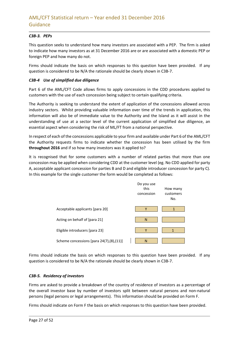## *C3B-3. PEPs*

This question seeks to understand how many investors are associated with a PEP. The firm is asked to indicate how many investors as at 31 December 2016 are or are associated with a domestic PEP or foreign PEP and how many do not.

Firms should indicate the basis on which responses to this question have been provided. If any question is considered to be N/A the rationale should be clearly shown in C3B-7.

## *C3B-4 Use of simplified due diligence*

Part 6 of the AML/CFT Code allows firms to apply concessions in the CDD procedures applied to customers with the use of each concession being subject to certain qualifying criteria.

The Authority is seeking to understand the extent of application of the concessions allowed across industry sectors. Whilst providing valuable information over time of the trends in application, this information will also be of immediate value to the Authority and the Island as it will assist in the understanding of use at a sector level of the current application of simplified due diligence, an essential aspect when considering the risk of ML/FT from a national perspective.

In respect of each of the concessions applicable to your firm and available under Part 6 of the AML/CFT the Authority requests firms to indicate whether the concession has been utilised by the firm **throughout 2016** and if so how many investors was it applied to?

It is recognised that for some customers with a number of related parties that more than one concession may be applied when considering CDD at the customer level (eg. No CDD applied for party A, acceptable applicant concession for parties B and D and eligible introducer concession for party C). In this example for the single customer the form would be completed as follows:



Firms should indicate the basis on which responses to this question have been provided. If any question is considered to be N/A the rationale should be clearly shown in C3B-7.

#### *C3B-5. Residency of investors*

Firms are asked to provide a breakdown of the country of residence of investors as a percentage of the overall investor base by number of investors split between natural persons and non-natural persons (legal persons or legal arrangements). This information should be provided on Form F.

Firms should indicate on Form F the basis on which responses to this question have been provided.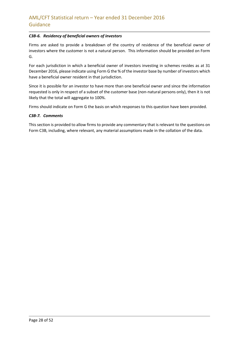## *C3B-6. Residency of beneficial owners of investors*

Firms are asked to provide a breakdown of the country of residence of the beneficial owner of investors where the customer is not a natural person. This information should be provided on Form G.

For each jurisdiction in which a beneficial owner of investors investing in schemes resides as at 31 December 2016, please indicate using Form G the % of the investor base by number of investors which have a beneficial owner resident in that jurisdiction.

Since it is possible for an investor to have more than one beneficial owner and since the information requested is only in respect of a subset of the customer base (non-natural persons only), then it is not likely that the total will aggregate to 100%.

Firms should indicate on Form G the basis on which responses to this question have been provided.

#### *C3B-7. Comments*

This section is provided to allow firms to provide any commentary that is relevant to the questions on Form C3B, including, where relevant, any material assumptions made in the collation of the data.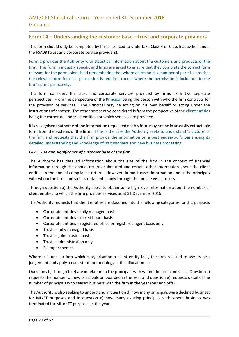## **Form C4 – Understanding the customer base – trust and corporate providers**

This form should only be completed by firms licenced to undertake Class 4 or Class 5 activities under the FSA08 (trust and corporate service providers).

Form C provides the Authority with statistical information about the customers and products of the firm. This form is industry specific and firms are asked to ensure that they complete the correct form relevant for the permissions held remembering that where a firm holds a number of permissions that the relevant form for each permission is required except where the permission is incidental to the firm's principal activity.

This form considers the trust and corporate services provided by firms from two separate perspectives. From the perspective of the Principal being the person with who the firm contracts for the provision of services. The Principal may be acting on his own behalf or acting under the instructions of another. The other perspective considered is from the perspective of the client entities being the corporate and trust entities for which services are provided.

It is recognised that some of the information requested on this form may not be in an easily extractable form from the systems of the firm. If this is the case the Authority seeks to understand 'a picture' of the firm and requests that the firm provide the information on a best endeavour's basis using its detailed understanding and knowledge of its customers and new business processing.

#### *C4-1. Size and significance of customer base of the firm*

The Authority has detailed information about the size of the firm in the context of financial information through the annual returns submitted and certain other information about the client entities in the annual compliance return. However, in most cases information about the principals with whom the firm contracts is obtained mainly through the on-site visit process.

Through question a) the Authority seeks to obtain some high-level information about the number of client entities to which the firm provides services as at 31 December 2016.

The Authority requests that client entities are classified into the following categories for this purpose:

- Corporate entities fully managed basis
- Corporate entities mixed board basis
- Corporate entities registered office or registered agent basis only
- Trusts fully managed basis
- $\bullet$  Trusts joint trustee basis
- Trusts administration only
- Exempt schemes

Where it is unclear into which categorisation a client entity falls, the firm is asked to use its best judgement and apply a consistent methodology in the allocation basis.

Questions b) through to e) are in relation to the principals with whom the firm contracts. Question c) requests the number of new principals on boarded in the year and question e) requests detail of the number of principals who ceased business with the firm in the year (ons and offs).

The Authority is also seeking to understand in question d) how many principals were declined business for ML/FT purposes and in question e) how many existing principals with whom business was terminated for ML or FT purposes in the year.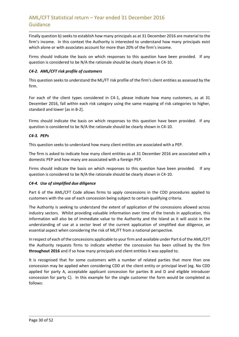Finally question b) seeks to establish how many principals as at 31 December 2016 are material to the firm's income. In this context the Authority is interested to understand how many principals exist which alone or with associates account for more than 20% of the firm's income.

Firms should indicate the basis on which responses to this question have been provided. If any question is considered to be N/A the rationale should be clearly shown in C4-10.

## *C4-2. AML/CFT risk profile of customers*

This question seeks to understand the ML/FT risk profile of the firm's client entities as assessed by the firm.

For each of the client types considered in C4-1, please indicate how many customers, as at 31 December 2016, fall within each risk category using the same mapping of risk categories to higher, standard and lower [as in B-2].

Firms should indicate the basis on which responses to this question have been provided. If any question is considered to be N/A the rationale should be clearly shown in C4-10.

## *C4-3. PEPs*

This question seeks to understand how many client entities are associated with a PEP.

The firm is asked to indicate how many client entities as at 31 December 2016 are associated with a domestic PEP and how many are associated with a foreign PEP.

Firms should indicate the basis on which responses to this question have been provided. If any question is considered to be N/A the rationale should be clearly shown in C4-10.

## *C4-4. Use of simplified due diligence*

Part 6 of the AML/CFT Code allows firms to apply concessions in the CDD procedures applied to customers with the use of each concession being subject to certain qualifying criteria.

The Authority is seeking to understand the extent of application of the concessions allowed across industry sectors. Whilst providing valuable information over time of the trends in application, this information will also be of immediate value to the Authority and the Island as it will assist in the understanding of use at a sector level of the current application of simplified due diligence, an essential aspect when considering the risk of ML/FT from a national perspective.

In respect of each of the concessions applicable to your firm and available under Part 6 of the AML/CFT the Authority requests firms to indicate whether the concession has been utilised by the firm **throughout 2016** and if so how many principals and client entities it was applied to.

It is recognised that for some customers with a number of related parties that more than one concession may be applied when considering CDD at the client entity or principal level (eg. No CDD applied for party A, acceptable applicant concession for parties B and D and eligible introducer concession for party C). In this example for the single customer the form would be completed as follows: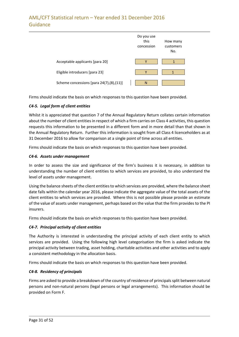

Firms should indicate the basis on which responses to this question have been provided.

## *C4-5. Legal form of client entities*

Whilst it is appreciated that question 7 of the Annual Regulatory Return collates certain information about the number of client entities in respect of which a firm carries on Class 4 activities, this question requests this information to be presented in a different form and in more detail than that shown in the Annual Regulatory Return. Further this information is sought from all Class 4 licenceholders as at 31 December 2016 to allow for comparison at a single point of time across all entities.

Firms should indicate the basis on which responses to this question have been provided.

## *C4-6. Assets under management*

In order to assess the size and significance of the firm's business it is necessary, in addition to understanding the number of client entities to which services are provided, to also understand the level of assets under management.

Using the balance sheets of the client entities to which services are provided, where the balance sheet date falls within the calendar year 2016, please indicate the aggregate value of the total assets of the client entities to which services are provided. Where this is not possible please provide an estimate of the value of assets under management, perhaps based on the value that the firm provides to the PI insurers.

Firms should indicate the basis on which responses to this question have been provided.

## *C4-7. Principal activity of client entities*

The Authority is interested in understanding the principal activity of each client entity to which services are provided. Using the following high level categorisation the firm is asked indicate the principal activity between trading, asset holding, charitable activities and other activities and to apply a consistent methodology in the allocation basis.

Firms should indicate the basis on which responses to this question have been provided.

## *C4-8. Residency of principals*

Firms are asked to provide a breakdown of the country of residence of principalssplit between natural persons and non-natural persons (legal persons or legal arrangements). This information should be provided on Form F.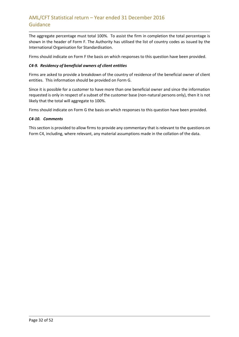The aggregate percentage must total 100%. To assist the firm in completion the total percentage is shown in the header of Form F. The Authority has utilised the list of country codes as issued by the International Organisation for Standardisation.

Firms should indicate on Form F the basis on which responses to this question have been provided.

## *C4-9. Residency of beneficial owners of client entities*

Firms are asked to provide a breakdown of the country of residence of the beneficial owner of client entities. This information should be provided on Form G.

Since it is possible for a customer to have more than one beneficial owner and since the information requested is only in respect of a subset of the customer base (non-natural persons only), then it is not likely that the total will aggregate to 100%.

Firms should indicate on Form G the basis on which responses to this question have been provided.

### *C4-10. Comments*

This section is provided to allow firms to provide any commentary that is relevant to the questions on Form C4, including, where relevant, any material assumptions made in the collation of the data.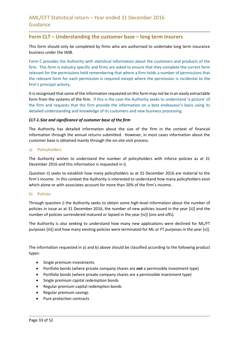## **Form CLT – Understanding the customer base – long term insurers**

This form should only be completed by firms who are authorised to undertake long term insurance business under the IA08.

Form C provides the Authority with statistical information about the customers and products of the firm. This form is industry specific and firms are asked to ensure that they complete the correct form relevant for the permissions held remembering that where a firm holds a number of permissions that the relevant form for each permission is required except where the permission is incidental to the firm's principal activity.

It is recognised that some of the information requested on this form may not be in an easily extractable form from the systems of the firm. If this is the case the Authority seeks to understand 'a picture' of the firm and requests that the firm provide the information on a best endeavour's basis using its detailed understanding and knowledge of its customers and new business processing.

#### *CLT-1.Size and significance of customer base of the firm*

The Authority has detailed information about the size of the firm in the context of financial information through the annual returns submitted. However, in most cases information about the customer base is obtained mainly through the on-site visit process.

#### a) Policyholders

The Authority wishes to understand the number of policyholders with inforce policies as at 31 December 2016 and this information is requested in i).

Question ii) seeks to establish how many policyholders as at 31 December 2016 are material to the firm's income. In this context the Authority is interested to understand how many policyholders exist which alone or with associates account for more than 20% of the firm's income.

#### b) Policies

Through question i) the Authority seeks to obtain some high-level information about the number of policies in issue as at 31 December 2016, the number of new policies issued in the year [ii)] and the number of policies surrendered matured or lapsed in the year [iv)] (ons and offs).

The Authority is also seeking to understand how many new applications were declined for ML/FT purposes [iii)] and how many existing policies were terminated for ML or FT purposes in the year [v)].

The information requested in a) and b) above should be classified according to the following product types:

- Single premium investments
- Portfolio bonds (where private company shares are *not* a permissible investment type)
- Portfolio bonds (where private company shares are a permissible investment type)
- Single premium capital redemption bonds
- Regular premium capital redemption bonds
- Regular premium savings
- Pure protection contracts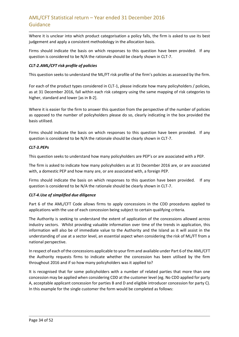Where it is unclear into which product categorisation a policy falls, the firm is asked to use its best judgement and apply a consistent methodology in the allocation basis.

Firms should indicate the basis on which responses to this question have been provided. If any question is considered to be N/A the rationale should be clearly shown in CLT-7.

### *CLT-2.AML/CFT risk profile of policies*

This question seeks to understand the ML/FT risk profile of the firm's policies as assessed by the firm.

For each of the product types considered in CLT-1, please indicate how many policyholders / policies, as at 31 December 2016, fall within each risk category using the same mapping of risk categories to higher, standard and lower [as in B-2].

Where it is easier for the firm to answer this question from the perspective of the number of policies as opposed to the number of policyholders please do so, clearly indicating in the box provided the basis utilised.

Firms should indicate the basis on which responses to this question have been provided. If any question is considered to be N/A the rationale should be clearly shown in CLT-7.

#### *CLT-3.PEPs*

This question seeks to understand how many policyholders are PEP's or are associated with a PEP.

The firm is asked to indicate how many policyholders as at 31 December 2016 are, or are associated with, a domestic PEP and how many are, or are associated with, a foreign PEP.

Firms should indicate the basis on which responses to this question have been provided. If any question is considered to be N/A the rationale should be clearly shown in CLT-7.

#### *CLT-4.Use of simplified due diligence*

Part 6 of the AML/CFT Code allows firms to apply concessions in the CDD procedures applied to applications with the use of each concession being subject to certain qualifying criteria.

The Authority is seeking to understand the extent of application of the concessions allowed across industry sectors. Whilst providing valuable information over time of the trends in application, this information will also be of immediate value to the Authority and the Island as it will assist in the understanding of use at a sector level, an essential aspect when considering the risk of ML/FT from a national perspective.

In respect of each of the concessions applicable to your firm and available under Part 6 of the AML/CFT the Authority requests firms to indicate whether the concession has been utilised by the firm throughout 2016 and if so how many policyholders was it applied to?

It is recognised that for some policyholders with a number of related parties that more than one concession may be applied when considering CDD at the customer level (eg. No CDD applied for party A, acceptable applicant concession for parties B and D and eligible introducer concession for party C). In this example for the single customer the form would be completed as follows: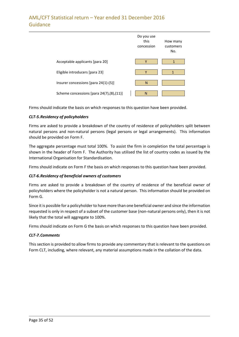|                                          | Do you use<br>this<br>concession | How many<br>customers<br>No. |
|------------------------------------------|----------------------------------|------------------------------|
| Acceptable applicants [para 20]          | ٧                                |                              |
| Eligible introducers [para 23]           | Υ                                |                              |
| Insurer concessions [para 24(1)-(5)]     | N                                |                              |
| Scheme concessions [para 24(7),(8),(11)] | N                                |                              |

Firms should indicate the basis on which responses to this question have been provided.

## *CLT-5.Residency of policyholders*

Firms are asked to provide a breakdown of the country of residence of policyholders split between natural persons and non-natural persons (legal persons or legal arrangements). This information should be provided on Form F.

The aggregate percentage must total 100%. To assist the firm in completion the total percentage is shown in the header of Form F. The Authority has utilised the list of country codes as issued by the International Organisation for Standardisation.

Firms should indicate on Form F the basis on which responses to this question have been provided.

## *CLT-6.Residency of beneficial owners of customers*

Firms are asked to provide a breakdown of the country of residence of the beneficial owner of policyholders where the policyholder is not a natural person. This information should be provided on Form G.

Since it is possible for a policyholder to have more than one beneficial owner and since the information requested is only in respect of a subset of the customer base (non-natural persons only), then it is not likely that the total will aggregate to 100%.

Firms should indicate on Form G the basis on which responses to this question have been provided.

#### *CLT-7.Comments*

This section is provided to allow firms to provide any commentary that is relevant to the questions on Form CLT, including, where relevant, any material assumptions made in the collation of the data.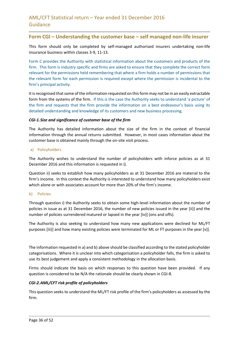## **Form CGI – Understanding the customer base – self managed non-life insurer**

This form should only be completed by self-managed authorised insurers undertaking non-life insurance business within classes 3-9, 11-13.

Form C provides the Authority with statistical information about the customers and products of the firm. This form is industry specific and firms are asked to ensure that they complete the correct form relevant for the permissions held remembering that where a firm holds a number of permissions that the relevant form for each permission is required except where the permission is incidental to the firm's principal activity.

It is recognised that some of the information requested on this form may not be in an easily extractable form from the systems of the firm. If this is the case the Authority seeks to understand 'a picture' of the firm and requests that the firm provide the information on a best endeavour's basis using its detailed understanding and knowledge of its customers and new business processing.

#### *CGI-1.Size and significance of customer base of the firm*

The Authority has detailed information about the size of the firm in the context of financial information through the annual returns submitted. However, in most cases information about the customer base is obtained mainly through the on-site visit process.

#### a) Policyholders

The Authority wishes to understand the number of policyholders with inforce policies as at 31 December 2016 and this information is requested in i).

Question ii) seeks to establish how many policyholders as at 31 December 2016 are material to the firm's income. In this context the Authority is interested to understand how many policyholders exist which alone or with associates account for more than 20% of the firm's income.

#### b) Policies

Through question i) the Authority seeks to obtain some high-level information about the number of policies in issue as at 31 December 2016, the number of new policies issued in the year [ii)] and the number of policies surrendered matured or lapsed in the year [iv)] (ons and offs).

The Authority is also seeking to understand how many new applications were declined for ML/FT purposes [iii)] and how many existing policies were terminated for ML or FT purposes in the year [v)].

The information requested in a) and b) above should be classified according to the stated policyholder categorisations. Where it is unclear into which categorisation a policyholder falls, the firm is asked to use its best judgement and apply a consistent methodology in the allocation basis.

Firms should indicate the basis on which responses to this question have been provided. If any question is considered to be N/A the rationale should be clearly shown in CGI-8.

#### *CGI-2.AML/CFT risk profile of policyholders*

This question seeks to understand the ML/FT risk profile of the firm's policyholders as assessed by the firm.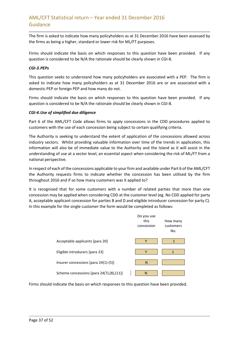The firm is asked to indicate how many policyholders as at 31 December 2016 have been assessed by the firms as being a higher, standard or lower risk for ML/FT purposes.

Firms should indicate the basis on which responses to this question have been provided. If any question is considered to be N/A the rationale should be clearly shown in CGI-8.

#### *CGI-3.PEPs*

This question seeks to understand how many policyholders are associated with a PEP. The firm is asked to indicate how many policyholders as at 31 December 2016 are or are associated with a domestic PEP or foreign PEP and how many do not.

Firms should indicate the basis on which responses to this question have been provided. If any question is considered to be N/A the rationale should be clearly shown in CGI-8.

#### *CGI-4.Use of simplified due diligence*

Part 6 of the AML/CFT Code allows firms to apply concessions in the CDD procedures applied to customers with the use of each concession being subject to certain qualifying criteria.

The Authority is seeking to understand the extent of application of the concessions allowed across industry sectors. Whilst providing valuable information over time of the trends in application, this information will also be of immediate value to the Authority and the Island as it will assist in the understanding of use at a sector level, an essential aspect when considering the risk of ML/FT from a national perspective.

In respect of each of the concessions applicable to your firm and available under Part 6 of the AML/CFT the Authority requests firms to indicate whether the concession has been utilised by the firm throughout 2016 and if so how many customers was it applied to?

It is recognised that for some customers with a number of related parties that more than one concession may be applied when considering CDD at the customer level (eg. No CDD applied for party A, acceptable applicant concession for parties B and D and eligible introducer concession for party C). In this example for the single customer the form would be completed as follows:

|                                          | Do you use<br>this<br>concession | How many<br>customers<br>No. |
|------------------------------------------|----------------------------------|------------------------------|
| Acceptable applicants [para 20]          | Υ                                | $\mathbf{1}$                 |
| Eligible introducers [para 23]           | Υ                                | 1                            |
| Insurer concessions [para 24(1)-(5)]     | N                                |                              |
| Scheme concessions [para 24(7),(8),(11)] | $\mathsf{N}$                     |                              |

Firms should indicate the basis on which responses to this question have been provided.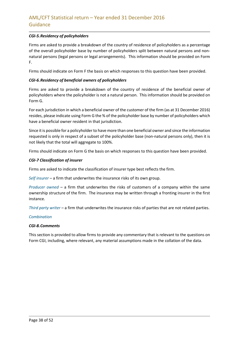## *CGI-5.Residency of policyholders*

Firms are asked to provide a breakdown of the country of residence of policyholders as a percentage of the overall policyholder base by number of policyholders split between natural persons and nonnatural persons (legal persons or legal arrangements). This information should be provided on Form F.

Firms should indicate on Form F the basis on which responses to this question have been provided.

### *CGI-6.Residency of beneficial owners of policyholders*

Firms are asked to provide a breakdown of the country of residence of the beneficial owner of policyholders where the policyholder is not a natural person. This information should be provided on Form G.

For each jurisdiction in which a beneficial owner of the customer of the firm (as at 31 December 2016) resides, please indicate using Form G the % of the policyholder base by number of policyholders which have a beneficial owner resident in that jurisdiction.

Since it is possible for a policyholder to have more than one beneficial owner and since the information requested is only in respect of a subset of the policyholder base (non-natural persons only), then it is not likely that the total will aggregate to 100%.

Firms should indicate on Form G the basis on which responses to this question have been provided.

### *CGI-7 Classification of insurer*

Firms are asked to indicate the classification of insurer type best reflects the firm.

*Self insurer* – a firm that underwrites the insurance risks of its own group.

*Producer owned* – a firm that underwrites the risks of customers of a company within the same ownership structure of the firm. The insurance may be written through a fronting insurer in the first instance.

*Third party writer* – a firm that underwrites the insurance risks of parties that are not related parties.

#### *Combination*

#### *CGI-8.Comments*

This section is provided to allow firms to provide any commentary that is relevant to the questions on Form CGI, including, where relevant, any material assumptions made in the collation of the data.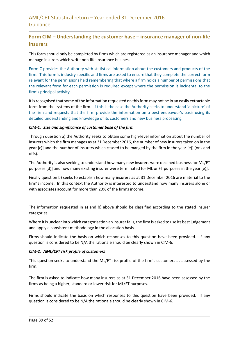# **Form CIM – Understanding the customer base – insurance manager of non-life insurers**

This form should only be completed by firms which are registered as an insurance manager and which manage insurers which write non-life insurance business.

Form C provides the Authority with statistical information about the customers and products of the firm. This form is industry specific and firms are asked to ensure that they complete the correct form relevant for the permissions held remembering that where a firm holds a number of permissions that the relevant form for each permission is required except where the permission is incidental to the firm's principal activity.

It is recognised that some of the information requested on this form may not be in an easily extractable form from the systems of the firm. If this is the case the Authority seeks to understand 'a picture' of the firm and requests that the firm provide the information on a best endeavour's basis using its detailed understanding and knowledge of its customers and new business processing.

### *CIM-1. Size and significance of customer base of the firm*

Through question a) the Authority seeks to obtain some high-level information about the number of insurers which the firm manages as at 31 December 2016, the number of new insurers taken on in the year [c)] and the number of insurers which ceased to be manged by the firm in the year [e)] (ons and offs).

The Authority is also seeking to understand how many new insurers were declined business for ML/FT purposes [d)] and how many existing insurer were terminated for ML or FT purposes in the year [e)].

Finally question b) seeks to establish how many insurers as at 31 December 2016 are material to the firm's income. In this context the Authority is interested to understand how many insurers alone or with associates account for more than 20% of the firm's income.

The information requested in a) and b) above should be classified according to the stated insurer categories.

Where it is unclear into which categorisation an insurerfalls, the firm is asked to use its best judgement and apply a consistent methodology in the allocation basis.

Firms should indicate the basis on which responses to this question have been provided. If any question is considered to be N/A the rationale should be clearly shown in CIM-6.

#### *CIM-2. AML/CFT risk profile of customers*

This question seeks to understand the ML/FT risk profile of the firm's customers as assessed by the firm.

The firm is asked to indicate how many insurers as at 31 December 2016 have been assessed by the firms as being a higher, standard or lower risk for ML/FT purposes.

Firms should indicate the basis on which responses to this question have been provided. If any question is considered to be N/A the rationale should be clearly shown in CIM-6.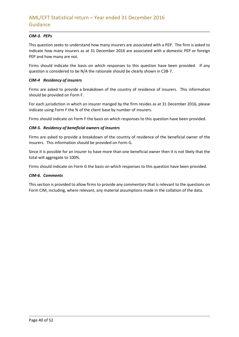## *CIM-3. PEPs*

This question seeks to understand how many insurers are associated with a PEP. The firm is asked to indicate how many insurers as at 31 December 2016 are associated with a domestic PEP or foreign PEP and how many are not.

Firms should indicate the basis on which responses to this question have been provided. If any question is considered to be N/A the rationale should be clearly shown in C3B-7.

#### *CIM-4 Residency of insurers*

Firms are asked to provide a breakdown of the country of residence of insurers. This information should be provided on Form F.

For each jurisdiction in which an insurer manged by the firm resides as at 31 December 2016, please indicate using Form F the % of the client base by number of insurers.

Firms should indicate on Form F the basis on which responses to this question have been provided.

### *CIM-5. Residency of beneficial owners of insurers*

Firms are asked to provide a breakdown of the country of residence of the beneficial owner of the insurers. This information should be provided on Form G.

Since it is possible for an insurer to have more than one beneficial owner then it is not likely that the total will aggregate to 100%.

Firms should indicate on Form G the basis on which responses to this question have been provided.

#### *CIM-6. Comments*

This section is provided to allow firms to provide any commentary that is relevant to the questions on Form CIM, including, where relevant, any material assumptions made in the collation of the data.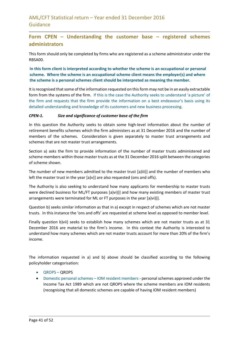## **Form CPEN – Understanding the customer base – registered schemes administrators**

This form should only be completed by firms who are registered as a scheme administrator under the RBSA00.

**In this form client is interpreted according to whether the scheme is an occupational or personal scheme. Where the scheme is an occupational scheme client means the employer(s) and where the scheme is a personal schemes client should be interpreted as meaning the member.**

It is recognised that some of the information requested on this form may not be in an easily extractable form from the systems of the firm. If this is the case the Authority seeks to understand 'a picture' of the firm and requests that the firm provide the information on a best endeavour's basis using its detailed understanding and knowledge of its customers and new business processing.

### *CPEN-1. Size and significance of customer base of the firm*

In this question the Authority seeks to obtain some high-level information about the number of retirement benefits schemes which the firm administers as at 31 December 2016 and the number of members of the schemes. Consideration is given separately to master trust arrangements and schemes that are not master trust arrangements.

Section a) asks the firm to provide information of the number of master trusts administered and scheme members within those master trusts as at the 31 December 2016 split between the categories of scheme shown.

The number of new members admitted to the master trust [a)iii)] and the number of members who left the master trust in the year [a)v)] are also requested (ons and offs).

The Authority is also seeking to understand how many applicants for membership to master trusts were declined business for ML/FT purposes [a)vi))] and how many existing members of master trust arrangements were terminated for ML or FT purposes in the year [a)vi))].

Question b) seeks similar information as that in a) except in respect of schemes which are not master trusts. In this instance the 'ons and offs' are requested at scheme level as opposed to member level.

Finally question b)vii) seeks to establish how many schemes which are not master trusts as at 31 December 2016 are material to the firm's income. In this context the Authority is interested to understand how many schemes which are not master trusts account for more than 20% of the firm's income.

The information requested in a) and b) above should be classified according to the following policyholder categorisation:

- QROPS QROPS
- Domestic personal schemes IOM resident members- personal schemes approved under the Income Tax Act 1989 which are not QROPS where the scheme members are IOM residents (recognising that all domestic schemes are capable of having IOM resident members)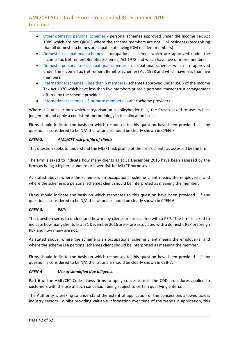- Other domestic personal schemes personal schemes approved under the Income Tax Act 1989 which are not QROPS where the scheme members are not IOM residents (recognising that all domestic schemes are capable of having IOM resident members)
- Domestic occupational schemes occupational schemes which are approved under the Income Tax (retirement Benefits Schemes) Act 1978 and which have five or more members.
- Domestic personalised occupational schemes occupational schemes which are approved under the Income Tax (retirement Benefits Schemes) Act 1978 and which have less than five members.
- International schemes less than 5 members schemes approved under s50B of the Income Tax Act 1970 which have less than five members or are a personal master trust arrangement offered by the scheme provider.
- International schemes 5 or more members other scheme providers

Where it is unclear into which categorisation a policyholder falls, the firm is asked to use its best judgement and apply a consistent methodology in the allocation basis.

Firms should indicate the basis on which responses to this question have been provided. If any question is considered to be N/A the rationale should be clearly shown in CPEN-7.

## *CPEN-2. AML/CFT risk profile of clients*

This question seeks to understand the ML/FT risk profile of the firm's clients as assessed by the firm.

The firm is asked to indicate how many clients as at 31 December 2016 have been assessed by the firms as being a higher, standard or lower risk for ML/FT purposes.

As stated above, where the scheme is an occupational scheme client means the employer(s) and where the scheme is a personal schemes client should be interpreted as meaning the member.

Firms should indicate the basis on which responses to this question have been provided. If any question is considered to be N/A the rationale should be clearly shown in CPEN-6.

## *CPEN-3. PEPs*

This question seeks to understand how many clients are associated with a PEP. The firm is asked to indicate how many clients as at 31 December 2016 are or are associated with a domestic PEP or foreign PEP and how many are not.

As stated above, where the scheme is an occupational scheme client means the employer(s) and where the scheme is a personal schemes client should be interpreted as meaning the member.

Firms should indicate the basis on which responses to this question have been provided. If any question is considered to be N/A the rationale should be clearly shown in C3B-7.

## *CPEN-4 Use of simplified due diligence*

Part 6 of the AML/CFT Code allows firms to apply concessions in the CDD procedures applied to customers with the use of each concession being subject to certain qualifying criteria.

The Authority is seeking to understand the extent of application of the concessions allowed across industry sectors. Whilst providing valuable information over time of the trends in application, this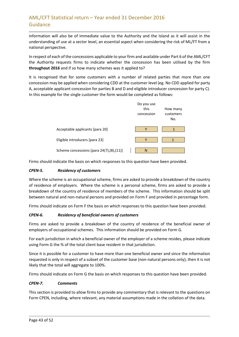information will also be of immediate value to the Authority and the Island as it will assist in the understanding of use at a sector level, an essential aspect when considering the risk of ML/FT from a national perspective.

In respect of each of the concessions applicable to your firm and available under Part 6 of the AML/CFT the Authority requests firms to indicate whether the concession has been utilised by the firm **throughout 2016** and if so how many schemes was it applied to?

It is recognised that for some customers with a number of related parties that more than one concession may be applied when considering CDD at the customer level (eg. No CDD applied for party A, acceptable applicant concession for parties B and D and eligible introducer concession for party C). In this example for the single customer the form would be completed as follows:



Firms should indicate the basis on which responses to this question have been provided.

## *CPEN-5. Residency of customers*

Where the scheme is an occupational scheme, firms are asked to provide a breakdown of the country of residence of employers. Where the scheme is a personal scheme, firms are asked to provide a breakdown of the country of residence of members of the scheme. This information should be split between natural and non-natural persons and provided on Form F and provided in percentage form.

Firms should indicate on Form F the basis on which responses to this question have been provided.

#### *CPEN-6. Residency of beneficial owners of customers*

Firms are asked to provide a breakdown of the country of residence of the beneficial owner of employers of occupational schemes. This information should be provided on Form G.

For each jurisdiction in which a beneficial owner of the employer of a scheme resides, please indicate using Form G the % of the total client base resident in that jurisdiction.

Since it is possible for a customer to have more than one beneficial owner and since the information requested is only in respect of a subset of the customer base (non-natural persons only), then it is not likely that the total will aggregate to 100%.

Firms should indicate on Form G the basis on which responses to this question have been provided.

#### *CPEN-7. Comments*

This section is provided to allow firms to provide any commentary that is relevant to the questions on Form CPEN, including, where relevant, any material assumptions made in the collation of the data.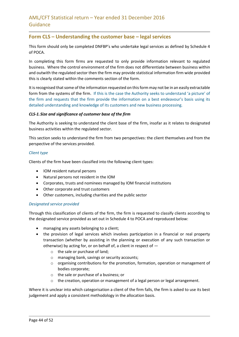## **Form CLS – Understanding the customer base – legal services**

This form should only be completed DNFBP's who undertake legal services as defined by Schedule 4 of POCA.

In completing this form firms are requested to only provide information relevant to regulated business. Where the control environment of the firm does not differentiate between business within and outwith the regulated sector then the firm may provide statistical information firm wide provided this is clearly stated within the comments section of the form.

It is recognised that some of the information requested on this form may not be in an easily extractable form from the systems of the firm. If this is the case the Authority seeks to understand 'a picture' of the firm and requests that the firm provide the information on a best endeavour's basis using its detailed understanding and knowledge of its customers and new business processing.

### *CLS-1.Size and significance of customer base of the firm*

The Authority is seeking to understand the client base of the firm, insofar as it relates to designated business activities within the regulated sector.

This section seeks to understand the firm from two perspectives: the client themselves and from the perspective of the services provided.

### *Client type*

Clients of the firm have been classified into the following client types:

- IOM resident natural persons
- Natural persons not resident in the IOM
- Corporates, trusts and nominees managed by IOM financial institutions
- Other corporate and trust customers
- Other customers, including charities and the public sector

#### *Designated service provided*

Through this classification of clients of the firm, the firm is requested to classify clients according to the designated service provided as set out in Schedule 4 to POCA and reproduced below:

- managing any assets belonging to a client;
- the provision of legal services which involves participation in a financial or real property transaction (whether by assisting in the planning or execution of any such transaction or otherwise) by acting for, or on behalf of, a client in respect of
	- o the sale or purchase of land;
	- o managing bank, savings or security accounts;
	- o organising contributions for the promotion, formation, operation or management of bodies corporate;
	- o the sale or purchase of a business; or
	- $\circ$  the creation, operation or management of a legal person or legal arrangement.

Where it is unclear into which categorisation a client of the firm falls, the firm is asked to use its best judgement and apply a consistent methodology in the allocation basis.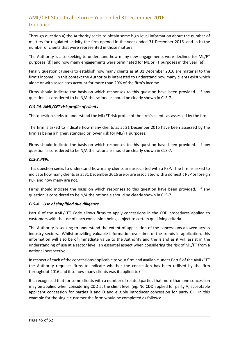Through question a) the Authority seeks to obtain some high-level information about the number of matters for regulated activity the firm opened in the year ended 31 December 2016, and in b) the number of clients that were represented in those matters.

The Authority is also seeking to understand how many new engagements were declined for ML/FT purposes [d)] and how many engagements were terminated for ML or FT purposes in the year [e)].

Finally question c) seeks to establish how many clients as at 31 December 2016 are material to the firm's income. In this context the Authority is interested to understand how many clients exist which alone or with associates account for more than 20% of the firm's income.

Firms should indicate the basis on which responses to this question have been provided. If any question is considered to be N/A the rationale should be clearly shown in CLS-7.

### *CLS-2A. AML/CFT risk profile of clients*

This question seeks to understand the ML/FT risk profile of the firm's clients as assessed by the firm.

The firm is asked to indicate how many clients as at 31 December 2016 have been assessed by the firm as being a higher, standard or lower risk for ML/FT purposes.

Firms should indicate the basis on which responses to this question have been provided. If any question is considered to be N/A the rationale should be clearly shown in CLS-7.

### *CLS-3.PEPs*

This question seeks to understand how many clients are associated with a PEP. The firm is asked to indicate how many clients as at 31 December 2016 are or are associated with a domestic PEP or foreign PEP and how many are not.

Firms should indicate the basis on which responses to this question have been provided. If any question is considered to be N/A the rationale should be clearly shown in CLS-7.

## *CLS-4. Use of simplified due diligence*

Part 6 of the AML/CFT Code allows firms to apply concessions in the CDD procedures applied to customers with the use of each concession being subject to certain qualifying criteria.

The Authority is seeking to understand the extent of application of the concessions allowed across industry sectors. Whilst providing valuable information over time of the trends in application, this information will also be of immediate value to the Authority and the Island as it will assist in the understanding of use at a sector level, an essential aspect when considering the risk of ML/FT from a national perspective.

In respect of each of the concessions applicable to your firm and available under Part 6 of the AML/CFT the Authority requests firms to indicate whether the concession has been utilised by the firm throughout 2016 and if so how many clients was it applied to?

It is recognised that for some clients with a number of related parties that more than one concession may be applied when considering CDD at the client level (eg. No CDD applied for party A, acceptable applicant concession for parties B and D and eligible introducer concession for party C). In this example for the single customer the form would be completed as follows: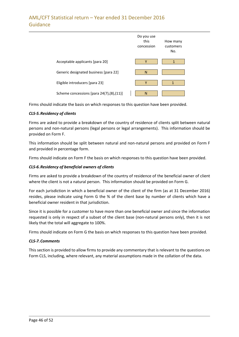|                                          | Do you use<br>this<br>concession | How many<br>customers<br>No. |
|------------------------------------------|----------------------------------|------------------------------|
| Acceptable applicants [para 20]          | Υ                                | 1                            |
| Generic designated business [para 22]    | N                                |                              |
| Eligible introducers [para 23]           | Y                                | 1                            |
| Scheme concessions [para 24(7),(8),(11)] | N                                |                              |

Firms should indicate the basis on which responses to this question have been provided.

### *CLS-5.Residency of clients*

Firms are asked to provide a breakdown of the country of residence of clients split between natural persons and non-natural persons (legal persons or legal arrangements). This information should be provided on Form F.

This information should be split between natural and non-natural persons and provided on Form F and provided in percentage form.

Firms should indicate on Form F the basis on which responses to this question have been provided.

### *CLS-6.Residency of beneficial owners of clients*

Firms are asked to provide a breakdown of the country of residence of the beneficial owner of client where the client is not a natural person. This information should be provided on Form G.

For each jurisdiction in which a beneficial owner of the client of the firm (as at 31 December 2016) resides, please indicate using Form G the % of the client base by number of clients which have a beneficial owner resident in that jurisdiction.

Since it is possible for a customer to have more than one beneficial owner and since the information requested is only in respect of a subset of the client base (non-natural persons only), then it is not likely that the total will aggregate to 100%.

Firms should indicate on Form G the basis on which responses to this question have been provided.

#### *CLS-7.Comments*

This section is provided to allow firms to provide any commentary that is relevant to the questions on Form CLS, including, where relevant, any material assumptions made in the collation of the data.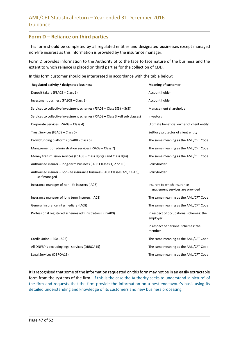## **Form D – Reliance on third parties**

This form should be completed by all regulated entities and designated businesses except managed non-life insurers as this information is provided by the insurance manager.

Form D provides information to the Authority of to the face to face nature of the business and the extent to which reliance is placed on third parties for the collection of CDD.

In this form customer should be interpreted in accordance with the table below:

| Regulated activity / designated business                                                    | <b>Meaning of customer</b>                                      |
|---------------------------------------------------------------------------------------------|-----------------------------------------------------------------|
| Deposit takers (FSA08 - Class 1)                                                            | Account holder                                                  |
| Investment business (FAS08 - Class 2)                                                       | Account holder                                                  |
| Services to collective investment schemes (FSA08 – Class $3(3)$ – $3(8)$ )                  | Management shareholder                                          |
| Services to collective investment schemes (FSA08 - Class 3 -all sub classes)                | Investors                                                       |
| Corporate Services (FSA08 - Class 4)                                                        | Ultimate beneficial owner of client entity                      |
| Trust Services (FSA08 - Class 5)                                                            | Settlor / protector of client entity                            |
| Crowdfunding platforms (FSA08 - Class 6)                                                    | The same meaning as the AML/CFT Code                            |
| Management or administration services (FSA08 - Class 7)                                     | The same meaning as the AML/CFT Code                            |
| Money transmission services (FSA08 – Class $8(2)(a)$ and Class $8(4)$ )                     | The same meaning as the AML/CFT Code                            |
| Authorised insurer - long-term business (IA08 Classes 1, 2 or 10)                           | Policyholder                                                    |
| Authorised insurer - non-life insurance business (IA08 Classes 3-9, 11-13),<br>self managed | Policyholder                                                    |
| Insurance manager of non-life insurers (IA08)                                               | Insurers to which insurance<br>management services are provided |
| Insurance manager of long term insurers (IA08)                                              | The same meaning as the AML/CFT Code                            |
| General insurance intermediary (IA08)                                                       | The same meaning as the AML/CFT Code                            |
| Professional registered schemes administrators (RBSA00)                                     | In respect of occupational schemes: the<br>employer             |
|                                                                                             | In respect of personal schemes: the<br>member                   |
| Credit Union (IBSA 1892)                                                                    | The same meaning as the AML/CFT Code                            |
| All DNFBP's excluding legal services (DBROA15)                                              | The same meaning as the AML/CFT Code                            |
| Legal Services (DBROA15)                                                                    | The same meaning as the AML/CFT Code                            |

It is recognised that some of the information requested on this form may not be in an easily extractable form from the systems of the firm. If this is the case the Authority seeks to understand 'a picture' of the firm and requests that the firm provide the information on a best endeavour's basis using its detailed understanding and knowledge of its customers and new business processing.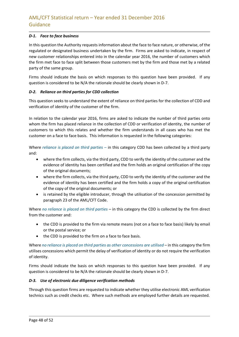## *D-1. Face to face business*

In this question the Authority requests information about the face to face nature, or otherwise, of the regulated or designated business undertaken by the firm. Firms are asked to indicate, in respect of new customer relationships entered into in the calendar year 2016, the number of customers which the firm met face to face split between those customers met by the firm and those met by a related party of the same group.

Firms should indicate the basis on which responses to this question have been provided. If any question is considered to be N/A the rationale should be clearly shown in D-7.

### *D-2. Reliance on third parties for CDD collection*

This question seeks to understand the extent of reliance on third parties for the collection of CDD and verification of identity of the customer of the firm.

In relation to the calendar year 2016, firms are asked to indicate the number of third parties onto whom the firm has placed reliance in the collection of CDD or verification of identity, the number of customers to which this relates and whether the firm understands in all cases who has met the customer on a face to face basis. This information is requested in the following categories:

Where *reliance is placed on third parties –* in this category CDD has been collected by a third party and:

- where the firm collects, via the third party, CDD to verify the identity of the customer and the evidence of identity has been certified and the firm holds an original certification of the copy of the original documents;
- where the firm collects, via the third party, CDD to verify the identity of the customer and the evidence of identity has been certified and the firm holds a copy of the original certification of the copy of the original documents; or
- is retained by the eligible introducer, through the utilisation of the concession permitted by paragraph 23 of the AML/CFT Code.

Where *no reliance is placed on third parties* – in this category the CDD is collected by the firm direct from the customer and:

- the CDD is provided to the firm via remote means (not on a face to face basis) likely by email or the postal service; or
- the CDD is provided to the firm on a face to face basis.

Where *no reliance is placed on third parties as other concessions are utilised* – in this category the firm utilises concessions which permit the delay of verification of identity or do not require the verification of identity.

Firms should indicate the basis on which responses to this question have been provided. If any question is considered to be N/A the rationale should be clearly shown in D-7.

## *D-3. Use of electronic due diligence verification methods*

Through this question firms are requested to indicate whether they utilise electronic AML verification technics such as credit checks etc. Where such methods are employed further details are requested.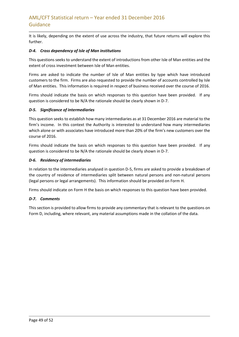It is likely, depending on the extent of use across the industry, that future returns will explore this further.

### *D-4. Cross dependency of Isle of Man institutions*

This questions seeks to understand the extent of introductions from other Isle of Man entities and the extent of cross investment between Isle of Man entities.

Firms are asked to indicate the number of Isle of Man entities by type which have introduced customers to the firm. Firms are also requested to provide the number of accounts controlled by Isle of Man entities. This information is required in respect of business received over the course of 2016.

Firms should indicate the basis on which responses to this question have been provided. If any question is considered to be N/A the rationale should be clearly shown in D-7.

### *D-5. Significance of intermediaries*

This question seeks to establish how many intermediaries as at 31 December 2016 are material to the firm's income. In this context the Authority is interested to understand how many intermediaries which alone or with associates have introduced more than 20% of the firm's new customers over the course of 2016.

Firms should indicate the basis on which responses to this question have been provided. If any question is considered to be N/A the rationale should be clearly shown in D-7.

### *D-6. Residency of intermediaries*

In relation to the intermediaries analysed in question D-5, firms are asked to provide a breakdown of the country of residence of intermediaries split between natural persons and non-natural persons (legal persons or legal arrangements). This information should be provided on Form H.

Firms should indicate on Form H the basis on which responses to this question have been provided.

#### *D-7. Comments*

This section is provided to allow firms to provide any commentary that is relevant to the questions on Form D, including, where relevant, any material assumptions made in the collation of the data.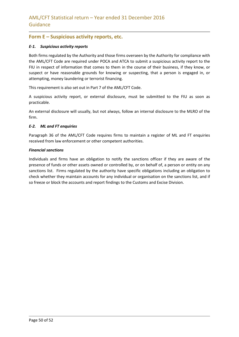## **Form E – Suspicious activity reports, etc.**

#### *E-1. Suspicious activity reports*

Both firms regulated by the Authority and those firms overseen by the Authority for compliance with the AML/CFT Code are required under POCA and ATCA to submit a suspicious activity report to the FIU in respect of information that comes to them in the course of their business, if they know, or suspect or have reasonable grounds for knowing or suspecting, that a person is engaged in, or attempting, money laundering or terrorist financing.

This requirement is also set out in Part 7 of the AML/CFT Code.

A suspicious activity report, or external disclosure, must be submitted to the FIU as soon as practicable.

An external disclosure will usually, but not always, follow an internal disclosure to the MLRO of the firm.

#### *E-2. ML and FT enquiries*

Paragraph 36 of the AML/CFT Code requires firms to maintain a register of ML and FT enquiries received from law enforcement or other competent authorities.

#### *Financial sanctions*

Individuals and firms have an obligation to notify the sanctions officer if they are aware of the presence of funds or other assets owned or controlled by, or on behalf of, a person or entity on any sanctions list. Firms regulated by the authority have specific obligations including an obligation to check whether they maintain accounts for any individual or organisation on the sanctions list, and if so freeze or block the accounts and report findings to the Customs and Excise Division.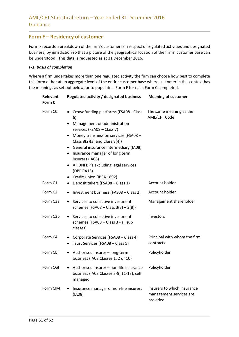## **Form F – Residency of customer**

Form F records a breakdown of the firm's customers (in respect of regulated activities and designated business) by jurisdiction so that a picture of the geographical location of the firms' customer base can be understood. This data is requested as at 31 December 2016.

## *F-1. Basis of completion*

Where a firm undertakes more than one regulated activity the firm can choose how best to complete this form either at an aggregate level of the entire customer base where customer in this context has the meanings as set out below, or to populate a Form F for each Form C completed.

| Relevant<br>Form C  | Regulated activity / designated business                                                                                                                                                                                                                                                                                                                                           | <b>Meaning of customer</b>                                         |
|---------------------|------------------------------------------------------------------------------------------------------------------------------------------------------------------------------------------------------------------------------------------------------------------------------------------------------------------------------------------------------------------------------------|--------------------------------------------------------------------|
| Form C <sub>0</sub> | Crowdfunding platforms (FSA08 - Class<br>6)<br>Management or administration<br>services (FSA08 - Class 7)<br>Money transmission services (FSA08 -<br>٠<br>Class $8(2)(a)$ and Class $8(4)$ )<br>• General insurance intermediary (IA08)<br>Insurance manager of long term<br>insurers (IA08)<br>All DNFBP's excluding legal services<br>٠<br>(DBROA15)<br>Credit Union (IBSA 1892) | The same meaning as the<br>AML/CFT Code                            |
| Form C1             | Deposit takers (FSA08 - Class 1)<br>٠                                                                                                                                                                                                                                                                                                                                              | Account holder                                                     |
| Form C <sub>2</sub> | Investment business (FAS08 - Class 2)<br>٠                                                                                                                                                                                                                                                                                                                                         | Account holder                                                     |
| Form C3a            | Services to collective investment<br>schemes (FSA08 – Class $3(3) - 3(8)$ )                                                                                                                                                                                                                                                                                                        | Management shareholder                                             |
| Form C3b            | Services to collective investment<br>$\bullet$<br>schemes (FSA08 - Class 3 -all sub<br>classes)                                                                                                                                                                                                                                                                                    | Investors                                                          |
| Form C4             | Corporate Services (FSA08 - Class 4)<br>٠<br>Trust Services (FSA08 - Class 5)<br>٠                                                                                                                                                                                                                                                                                                 | Principal with whom the firm<br>contracts                          |
| Form CLT            | Authorised insurer - long-term<br>٠<br>business (IA08 Classes 1, 2 or 10)                                                                                                                                                                                                                                                                                                          | Policyholder                                                       |
| Form CGI            | Authorised insurer - non-life insurance<br>٠<br>business (IA08 Classes 3-9, 11-13), self<br>managed                                                                                                                                                                                                                                                                                | Policyholder                                                       |
| Form CIM            | Insurance manager of non-life insurers<br>(IAO8)                                                                                                                                                                                                                                                                                                                                   | Insurers to which insurance<br>management services are<br>provided |